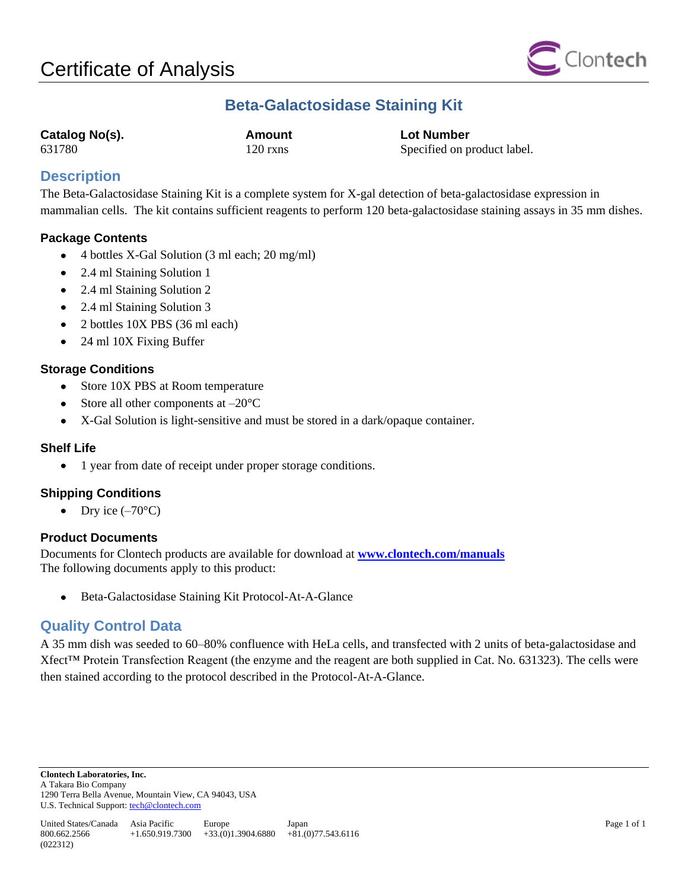

# **Beta-Galactosidase Staining Kit**

**Catalog No(s). Amount Lot Number**

631780 120 rxns Specified on product label.

## **Description**

The Beta-Galactosidase Staining Kit is a complete system for X-gal detection of beta-galactosidase expression in mammalian cells. The kit contains sufficient reagents to perform 120 beta-galactosidase staining assays in 35 mm dishes.

## **Package Contents**

- $\bullet$ 4 bottles X-Gal Solution (3 ml each; 20 mg/ml)
- 2.4 ml Staining Solution 1
- 2.4 ml Staining Solution 2  $\bullet$
- 2.4 ml Staining Solution 3  $\bullet$
- 2 bottles 10X PBS (36 ml each)  $\bullet$
- 24 ml 10X Fixing Buffer  $\bullet$

## **Storage Conditions**

- $\bullet$ Store 10X PBS at Room temperature
- Store all other components at  $-20^{\circ}$ C
- X-Gal Solution is light-sensitive and must be stored in a dark/opaque container.  $\bullet$

### **Shelf Life**

1 year from date of receipt under proper storage conditions.  $\bullet$ 

### **Shipping Conditions**

• Dry ice  $(-70^{\circ}C)$ 

### **Product Documents**

Documents for Clontech products are available for download at **[www.clontech.com/manuals](http://www.clontech.com/manuals)** The following documents apply to this product:

Beta-Galactosidase Staining Kit Protocol-At-A-Glance

## **Quality Control Data**

A 35 mm dish was seeded to 60–80% confluence with HeLa cells, and transfected with 2 units of beta-galactosidase and Xfect™ Protein Transfection Reagent (the enzyme and the reagent are both supplied in Cat. No. 631323). The cells were then stained according to the protocol described in the Protocol-At-A-Glance.